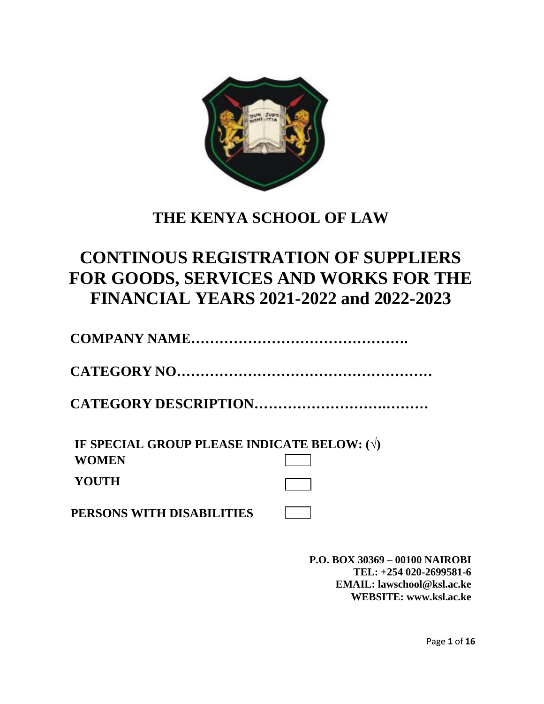

## **THE KENYA SCHOOL OF LAW**

# **CONTINOUS REGISTRATION OF SUPPLIERS FOR GOODS, SERVICES AND WORKS FOR THE FINANCIAL YEARS 2021-2022 and 2022-2023**

**COMPANY NAME……………………………………….**

**CATEGORY NO………………………………………………** 

**CATEGORY DESCRIPTION……………………….………**

**IF SPECIAL GROUP PLEASE INDICATE BELOW: (√) WOMEN YOUTH**

**PERSONS WITH DISABILITIES**

**P.O. BOX 30369 – 00100 NAIROBI TEL: +254 020-2699581-6 E[MAIL: lawschool@ksl.ac.ke](mailto:AIL:%20lawschool@ksl.ac.ke)  WEBSI[TE: www.ksl.ac.ke](http://E:%20www.ksl.ac.ke)**

Page **1** of **16**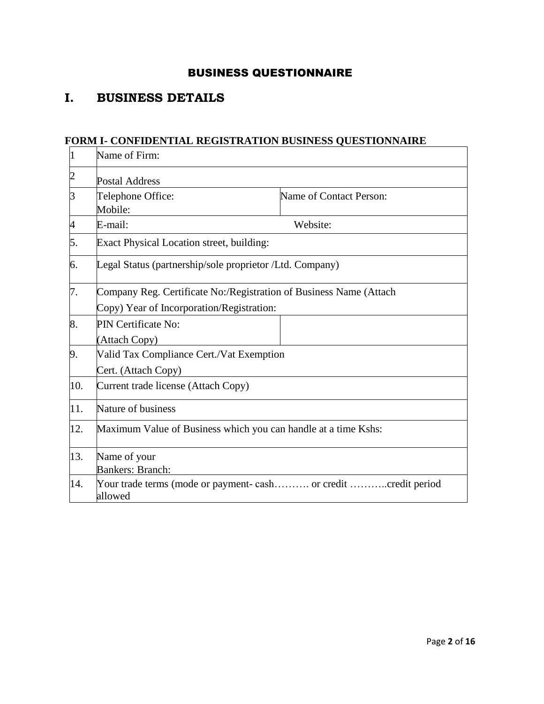## BUSINESS QUESTIONNAIRE

## **I. BUSINESS DETAILS**

#### **FORM I- CONFIDENTIAL REGISTRATION BUSINESS QUESTIONNAIRE**

| $\mathbf 1$    | Name of Firm:                                                                                                   |                         |
|----------------|-----------------------------------------------------------------------------------------------------------------|-------------------------|
| $\overline{c}$ | <b>Postal Address</b>                                                                                           |                         |
| 3              | Telephone Office:<br>Mobile:                                                                                    | Name of Contact Person: |
| 4              | E-mail:                                                                                                         | Website:                |
| 5.             | Exact Physical Location street, building:                                                                       |                         |
| 6.             | Legal Status (partnership/sole proprietor /Ltd. Company)                                                        |                         |
| 7.             | Company Reg. Certificate No:/Registration of Business Name (Attach<br>Copy) Year of Incorporation/Registration: |                         |
| 8.             | PIN Certificate No:<br>(Attach Copy)                                                                            |                         |
| 9.             | Valid Tax Compliance Cert./Vat Exemption<br>Cert. (Attach Copy)                                                 |                         |
| 10.            | Current trade license (Attach Copy)                                                                             |                         |
| 11.            | Nature of business                                                                                              |                         |
| 12.            | Maximum Value of Business which you can handle at a time Kshs:                                                  |                         |
| 13.            | Name of your<br><b>Bankers: Branch:</b>                                                                         |                         |
| 14.            | Your trade terms (mode or payment- cash or credit credit period<br>allowed                                      |                         |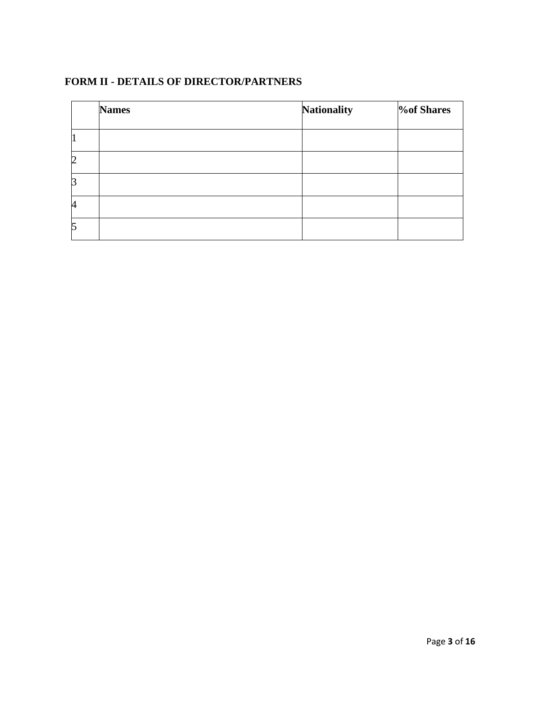## **FORM II - DETAILS OF DIRECTOR/PARTNERS**

|   | <b>Names</b> | <b>Nationality</b> | <b><i>V</i></b> of Shares |
|---|--------------|--------------------|---------------------------|
|   |              |                    |                           |
| 2 |              |                    |                           |
| P |              |                    |                           |
| 4 |              |                    |                           |
| 5 |              |                    |                           |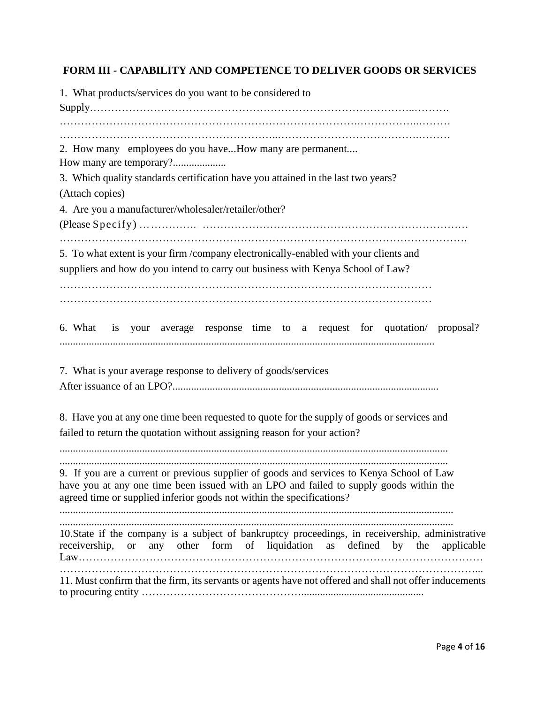## **FORM III - CAPABILITY AND COMPETENCE TO DELIVER GOODS OR SERVICES**

| 1. What products/services do you want to be considered to                                                                                                                                                                                                    |
|--------------------------------------------------------------------------------------------------------------------------------------------------------------------------------------------------------------------------------------------------------------|
| 2. How many employees do you haveHow many are permanent<br>3. Which quality standards certification have you attained in the last two years?<br>(Attach copies)<br>4. Are you a manufacturer/wholesaler/retailer/other?                                      |
| 5. To what extent is your firm /company electronically-enabled with your clients and<br>suppliers and how do you intend to carry out business with Kenya School of Law?                                                                                      |
| 6. What is your average response time to a request for quotation/ proposal?                                                                                                                                                                                  |
| 7. What is your average response to delivery of goods/services                                                                                                                                                                                               |
| 8. Have you at any one time been requested to quote for the supply of goods or services and<br>failed to return the quotation without assigning reason for your action?                                                                                      |
| 9. If you are a current or previous supplier of goods and services to Kenya School of Law<br>have you at any one time been issued with an LPO and failed to supply goods within the<br>agreed time or supplied inferior goods not within the specifications? |
| 10. State if the company is a subject of bankruptcy proceedings, in receivership, administrative<br>any other form of liquidation as defined by the<br>receivership, or<br>applicable                                                                        |
| 11. Must confirm that the firm, its servants or agents have not offered and shall not offer inducements                                                                                                                                                      |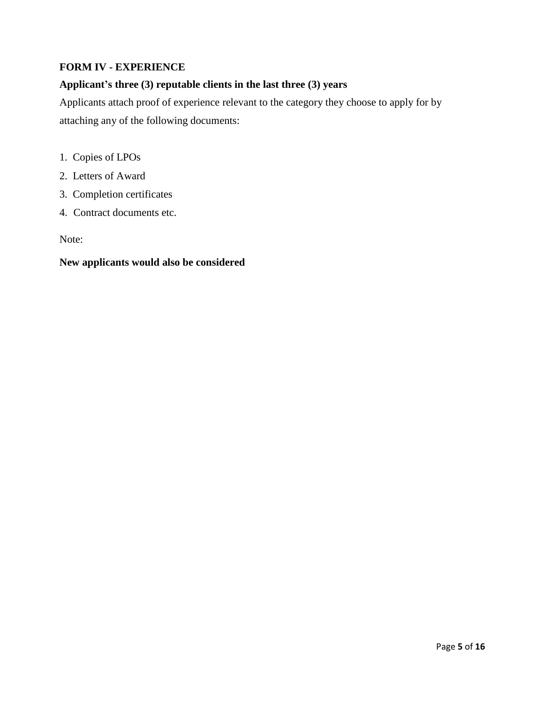### **FORM IV - EXPERIENCE**

## **Applicant's three (3) reputable clients in the last three (3) years**

Applicants attach proof of experience relevant to the category they choose to apply for by attaching any of the following documents:

- 1. Copies of LPOs
- 2. Letters of Award
- 3. Completion certificates
- 4. Contract documents etc.

Note:

#### **New applicants would also be considered**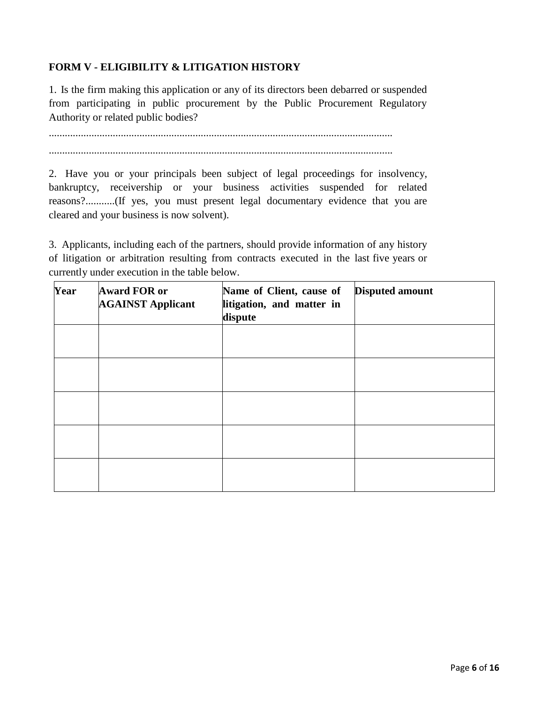## **FORM V - ELIGIBILITY & LITIGATION HISTORY**

1. Is the firm making this application or any of its directors been debarred or suspended from participating in public procurement by the Public Procurement Regulatory Authority or related public bodies?

................................................................................................................................. .................................................................................................................................

2. Have you or your principals been subject of legal proceedings for insolvency, bankruptcy, receivership or your business activities suspended for related reasons?...........(If yes, you must present legal documentary evidence that you are cleared and your business is now solvent).

3. Applicants, including each of the partners, should provide information of any history of litigation or arbitration resulting from contracts executed in the last five years or currently under execution in the table below.

| Year | <b>Award FOR or</b><br><b>AGAINST Applicant</b> | Name of Client, cause of<br>litigation, and matter in<br>dispute | <b>Disputed amount</b> |
|------|-------------------------------------------------|------------------------------------------------------------------|------------------------|
|      |                                                 |                                                                  |                        |
|      |                                                 |                                                                  |                        |
|      |                                                 |                                                                  |                        |
|      |                                                 |                                                                  |                        |
|      |                                                 |                                                                  |                        |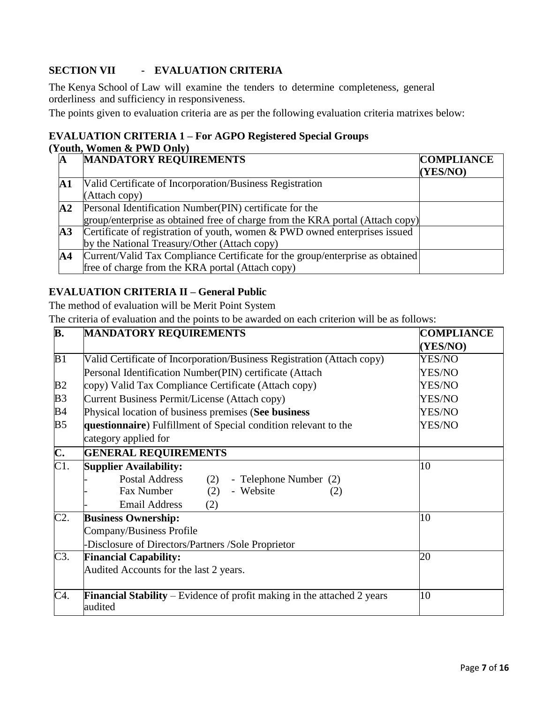## **SECTION VII - EVALUATION CRITERIA**

The Kenya School of Law will examine the tenders to determine completeness, general orderliness and sufficiency in responsiveness.

The points given to evaluation criteria are as per the following evaluation criteria matrixes below:

#### **EVALUATION CRITERIA 1 – For AGPO Registered Special Groups (Youth, Women & PWD Only)**

| A              | <b>MANDATORY REQUIREMENTS</b>                                                 | <b>COMPLIANCE</b><br>(YES/NO) |
|----------------|-------------------------------------------------------------------------------|-------------------------------|
| A1             | Valid Certificate of Incorporation/Business Registration                      |                               |
|                | (Attach copy)                                                                 |                               |
| ${\bf A2}$     | Personal Identification Number (PIN) certificate for the                      |                               |
|                | group/enterprise as obtained free of charge from the KRA portal (Attach copy) |                               |
| $\mathbf{A}3$  | Certificate of registration of youth, women & PWD owned enterprises issued    |                               |
|                | by the National Treasury/Other (Attach copy)                                  |                               |
| $\mathbf{A}$ 4 | Current/Valid Tax Compliance Certificate for the group/enterprise as obtained |                               |
|                | free of charge from the KRA portal (Attach copy)                              |                               |

#### **EVALUATION CRITERIA II – General Public**

The method of evaluation will be Merit Point System

The criteria of evaluation and the points to be awarded on each criterion will be as follows:

| B.                        | <b>MANDATORY REQUIREMENTS</b>                                                             | <b>COMPLIANCE</b> |
|---------------------------|-------------------------------------------------------------------------------------------|-------------------|
|                           |                                                                                           | (YES/NO)          |
| B1                        | Valid Certificate of Incorporation/Business Registration (Attach copy)                    | YES/NO            |
|                           | Personal Identification Number(PIN) certificate (Attach                                   | YES/NO            |
| B <sub>2</sub>            | copy) Valid Tax Compliance Certificate (Attach copy)                                      | YES/NO            |
| B <sub>3</sub>            | Current Business Permit/License (Attach copy)                                             | YES/NO            |
| B <sub>4</sub>            | Physical location of business premises (See business                                      | YES/NO            |
| B <sub>5</sub>            | questionnaire) Fulfillment of Special condition relevant to the                           | YES/NO            |
|                           | category applied for                                                                      |                   |
| $\overline{\mathbf{C}}$ . | <b>GENERAL REQUIREMENTS</b>                                                               |                   |
| $\overline{C1}$ .         | <b>Supplier Availability:</b>                                                             | 10                |
|                           | <b>Postal Address</b><br>(2)<br>- Telephone Number (2)                                    |                   |
|                           | Fax Number<br>(2)<br>- Website<br>(2)                                                     |                   |
|                           | <b>Email Address</b><br>(2)                                                               |                   |
| C2.                       | <b>Business Ownership:</b>                                                                | 10                |
|                           | Company/Business Profile                                                                  |                   |
|                           | -Disclosure of Directors/Partners /Sole Proprietor                                        |                   |
| C3.                       | <b>Financial Capability:</b>                                                              | 20                |
|                           | Audited Accounts for the last 2 years.                                                    |                   |
| C4.                       | <b>Financial Stability</b> – Evidence of profit making in the attached 2 years<br>audited | 10                |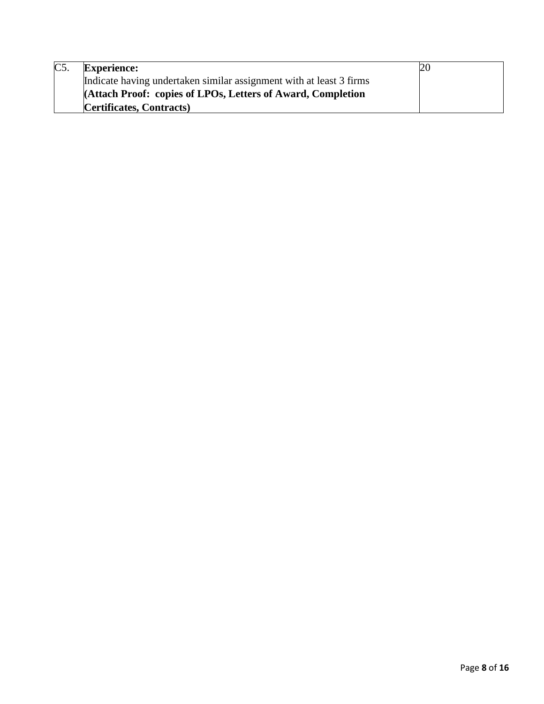| C <sub>5</sub> | <b>Experience:</b>                                                  | 20 |
|----------------|---------------------------------------------------------------------|----|
|                | Indicate having undertaken similar assignment with at least 3 firms |    |
|                | <b>Attach Proof: copies of LPOs, Letters of Award, Completion</b>   |    |
|                | <b>Certificates, Contracts</b> )                                    |    |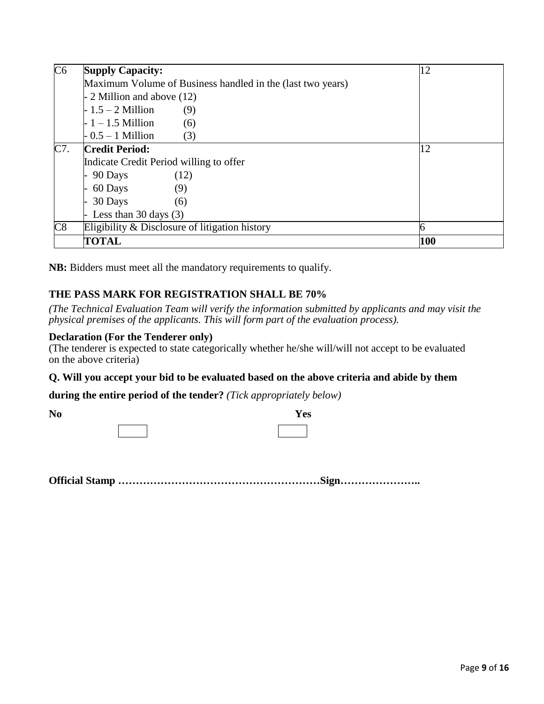| C6  | <b>Supply Capacity:</b>                                    | 12  |
|-----|------------------------------------------------------------|-----|
|     | Maximum Volume of Business handled in the (last two years) |     |
|     | - 2 Million and above (12)                                 |     |
|     | $-1.5 - 2$ Million<br>(9)                                  |     |
|     | $-1 - 1.5$ Million<br>(6)                                  |     |
|     | $-0.5-1$ Million<br>(3)                                    |     |
| C7. | <b>Credit Period:</b>                                      | 12  |
|     | Indicate Credit Period willing to offer                    |     |
|     | 90 Days<br>(12)                                            |     |
|     | 60 Days<br>(9)                                             |     |
|     | 30 Days<br>(6)                                             |     |
|     | Less than 30 days $(3)$                                    |     |
| C8  | Eligibility $\&$ Disclosure of litigation history          |     |
|     | <b>TOTAL</b>                                               | 100 |

**NB:** Bidders must meet all the mandatory requirements to qualify.

## **THE PASS MARK FOR REGISTRATION SHALL BE 70%**

*(The Technical Evaluation Team will verify the information submitted by applicants and may visit the physical premises of the applicants. This will form part of the evaluation process).*

#### **Declaration (For the Tenderer only)**

(The tenderer is expected to state categorically whether he/she will/will not accept to be evaluated on the above criteria)

#### **Q. Will you accept your bid to be evaluated based on the above criteria and abide by them**

**during the entire period of the tender?** *(Tick appropriately below)*

| N <sub>0</sub> | Yes |
|----------------|-----|
|                |     |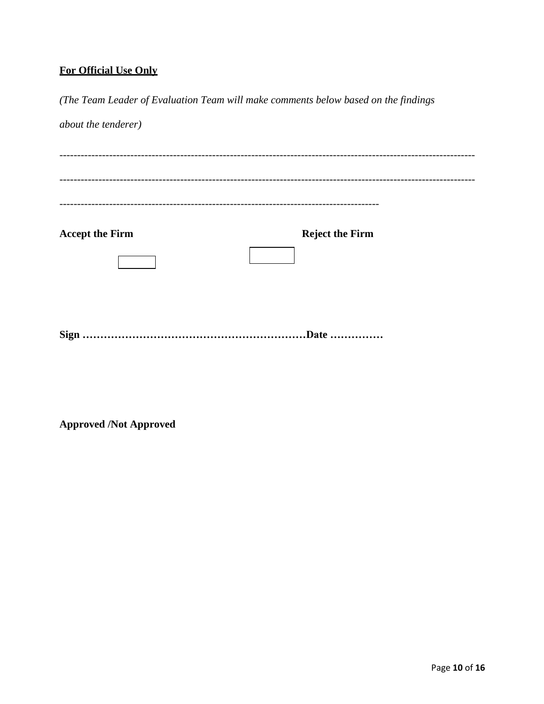## **For Official Use Only**

*(The Team Leader of Evaluation Team will make comments below based on the findings about the tenderer)* --------------------------------------------------------------------------------------------------------------------- --------------------------------------------------------------------------------------------------------------------- ------------------------------------------------------------------------------------------ **Accept the Firm Reject the Firm Sign ………………………………………………………Date ……………**

**Approved /Not Approved**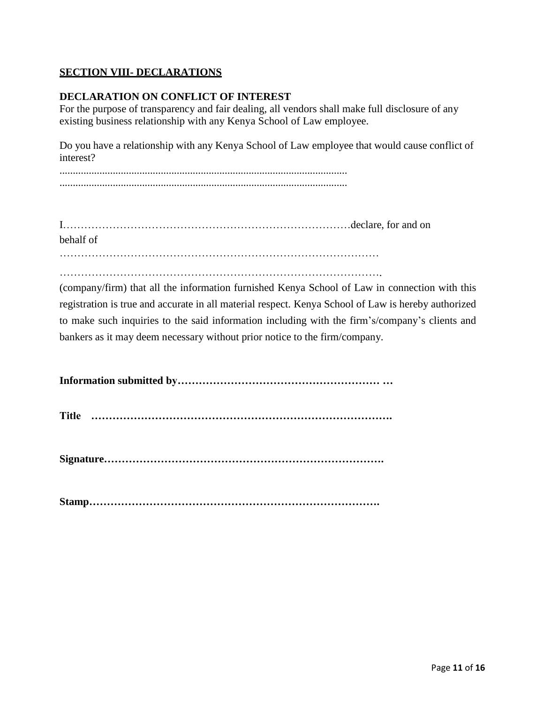### **SECTION VIII- DECLARATIONS**

#### **DECLARATION ON CONFLICT OF INTEREST**

For the purpose of transparency and fair dealing, all vendors shall make full disclosure of any existing business relationship with any Kenya School of Law employee.

Do you have a relationship with any Kenya School of Law employee that would cause conflict of interest?

............................................................................................................ ............................................................................................................

| behalf of |  |
|-----------|--|
|           |  |

……………………………………………………………………………….

(company/firm) that all the information furnished Kenya School of Law in connection with this registration is true and accurate in all material respect. Kenya School of Law is hereby authorized to make such inquiries to the said information including with the firm's/company's clients and bankers as it may deem necessary without prior notice to the firm/company.

**Information submitted by………………………………………………… …**

**Title ………………………………………………………………………….** 

**Signature…………………………………………………………………….** 

**Stamp……………………………………………………………………….**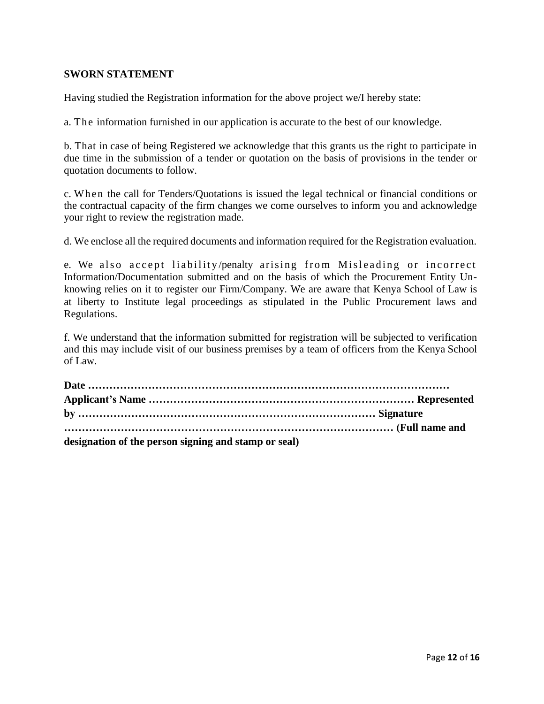#### **SWORN STATEMENT**

Having studied the Registration information for the above project we/I hereby state:

a. The information furnished in our application is accurate to the best of our knowledge.

b. That in case of being Registered we acknowledge that this grants us the right to participate in due time in the submission of a tender or quotation on the basis of provisions in the tender or quotation documents to follow.

c. When the call for Tenders/Quotations is issued the legal technical or financial conditions or the contractual capacity of the firm changes we come ourselves to inform you and acknowledge your right to review the registration made.

d. We enclose all the required documents and information required for the Registration evaluation.

e. We also accept liability/penalty arising from Misleading or incorrect Information/Documentation submitted and on the basis of which the Procurement Entity Unknowing relies on it to register our Firm/Company. We are aware that Kenya School of Law is at liberty to Institute legal proceedings as stipulated in the Public Procurement laws and Regulations.

f. We understand that the information submitted for registration will be subjected to verification and this may include visit of our business premises by a team of officers from the Kenya School of Law.

| designation of the person signing and stamp or seal) |  |
|------------------------------------------------------|--|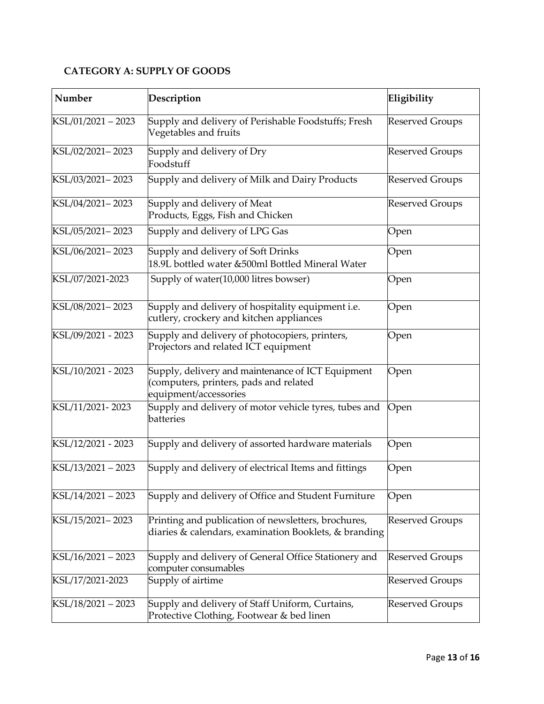## **CATEGORY A: SUPPLY OF GOODS**

| Number             | Description                                                                                                          | Eligibility            |
|--------------------|----------------------------------------------------------------------------------------------------------------------|------------------------|
| KSL/01/2021-2023   | Supply and delivery of Perishable Foodstuffs; Fresh<br>Vegetables and fruits                                         | <b>Reserved Groups</b> |
| KSL/02/2021-2023   | Supply and delivery of Dry<br>Foodstuff                                                                              | <b>Reserved Groups</b> |
| KSL/03/2021-2023   | Supply and delivery of Milk and Dairy Products                                                                       | <b>Reserved Groups</b> |
| KSL/04/2021-2023   | Supply and delivery of Meat<br>Products, Eggs, Fish and Chicken                                                      | <b>Reserved Groups</b> |
| KSL/05/2021-2023   | Supply and delivery of LPG Gas                                                                                       | Open                   |
| KSL/06/2021-2023   | Supply and delivery of Soft Drinks<br>18.9L bottled water &500ml Bottled Mineral Water                               | Open                   |
| KSL/07/2021-2023   | Supply of water(10,000 litres bowser)                                                                                | Open                   |
| KSL/08/2021-2023   | Supply and delivery of hospitality equipment i.e.<br>cutlery, crockery and kitchen appliances                        | Open                   |
| KSL/09/2021 - 2023 | Supply and delivery of photocopiers, printers,<br>Projectors and related ICT equipment                               | Open                   |
| KSL/10/2021 - 2023 | Supply, delivery and maintenance of ICT Equipment<br>(computers, printers, pads and related<br>equipment/accessories | Open                   |
| KSL/11/2021-2023   | Supply and delivery of motor vehicle tyres, tubes and<br>batteries                                                   | Open                   |
| KSL/12/2021 - 2023 | Supply and delivery of assorted hardware materials                                                                   | Open                   |
| KSL/13/2021 - 2023 | Supply and delivery of electrical Items and fittings                                                                 | Open                   |
| KSL/14/2021 - 2023 | Supply and delivery of Office and Student Furniture                                                                  | Open                   |
| KSL/15/2021-2023   | Printing and publication of newsletters, brochures,<br>diaries & calendars, examination Booklets, & branding         | Reserved Groups        |
| KSL/16/2021 - 2023 | Supply and delivery of General Office Stationery and<br>computer consumables                                         | <b>Reserved Groups</b> |
| KSL/17/2021-2023   | Supply of airtime                                                                                                    | <b>Reserved Groups</b> |
| KSL/18/2021 - 2023 | Supply and delivery of Staff Uniform, Curtains,<br>Protective Clothing, Footwear & bed linen                         | Reserved Groups        |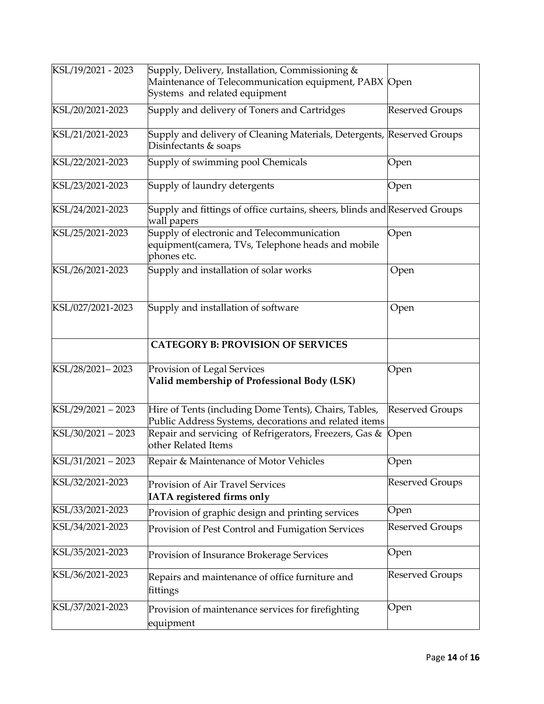| KSL/19/2021 - 2023 | Supply, Delivery, Installation, Commissioning &<br>Maintenance of Telecommunication equipment, PABX Open<br>Systems and related equipment |                        |
|--------------------|-------------------------------------------------------------------------------------------------------------------------------------------|------------------------|
| KSL/20/2021-2023   | Supply and delivery of Toners and Cartridges                                                                                              | <b>Reserved Groups</b> |
| KSL/21/2021-2023   | Supply and delivery of Cleaning Materials, Detergents, Reserved Groups<br>Disinfectants & soaps                                           |                        |
| KSL/22/2021-2023   | Supply of swimming pool Chemicals                                                                                                         | Open                   |
| KSL/23/2021-2023   | Supply of laundry detergents                                                                                                              | Open                   |
| KSL/24/2021-2023   | Supply and fittings of office curtains, sheers, blinds and Reserved Groups<br>wall papers                                                 |                        |
| KSL/25/2021-2023   | Supply of electronic and Telecommunication<br>equipment(camera, TVs, Telephone heads and mobile<br>phones etc.                            | Open                   |
| KSL/26/2021-2023   | Supply and installation of solar works                                                                                                    | Open                   |
| KSL/027/2021-2023  | Supply and installation of software                                                                                                       | Open                   |
|                    | <b>CATEGORY B: PROVISION OF SERVICES</b>                                                                                                  |                        |
| KSL/28/2021-2023   | Provision of Legal Services<br>Valid membership of Professional Body (LSK)                                                                | Open                   |
| KSL/29/2021-2023   | Hire of Tents (including Dome Tents), Chairs, Tables,<br>Public Address Systems, decorations and related items                            | <b>Reserved Groups</b> |
| KSL/30/2021-2023   | Repair and servicing of Refrigerators, Freezers, Gas &<br>other Related Items                                                             | Open                   |
| KSL/31/2021 - 2023 | Repair & Maintenance of Motor Vehicles                                                                                                    | Open                   |
| KSL/32/2021-2023   | Provision of Air Travel Services<br>IATA registered firms only                                                                            | <b>Reserved Groups</b> |
| KSL/33/2021-2023   | Provision of graphic design and printing services                                                                                         | Open                   |
| KSL/34/2021-2023   | Provision of Pest Control and Fumigation Services                                                                                         | <b>Reserved Groups</b> |
| KSL/35/2021-2023   | Provision of Insurance Brokerage Services                                                                                                 | Open                   |
| KSL/36/2021-2023   | Repairs and maintenance of office furniture and<br>fittings                                                                               | <b>Reserved Groups</b> |
| KSL/37/2021-2023   | Provision of maintenance services for firefighting<br>equipment                                                                           | Open                   |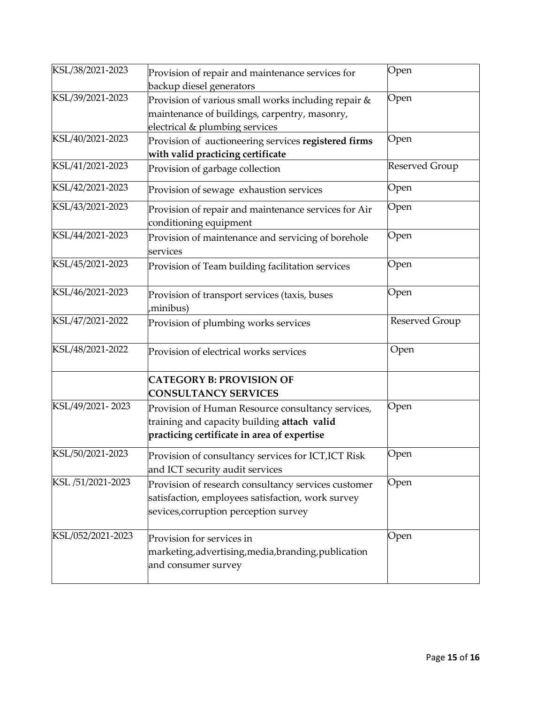| KSL/38/2021-2023  | Provision of repair and maintenance services for<br>backup diesel generators                                                                      | Open           |
|-------------------|---------------------------------------------------------------------------------------------------------------------------------------------------|----------------|
| KSL/39/2021-2023  | Provision of various small works including repair &<br>maintenance of buildings, carpentry, masonry,<br>electrical & plumbing services            | Open           |
| KSL/40/2021-2023  | Provision of auctioneering services registered firms<br>with valid practicing certificate                                                         | Open           |
| KSL/41/2021-2023  | Provision of garbage collection                                                                                                                   | Reserved Group |
| KSL/42/2021-2023  | Provision of sewage exhaustion services                                                                                                           | Open           |
| KSL/43/2021-2023  | Provision of repair and maintenance services for Air<br>conditioning equipment                                                                    | Open           |
| KSL/44/2021-2023  | Provision of maintenance and servicing of borehole<br>services                                                                                    | Open           |
| KSL/45/2021-2023  | Provision of Team building facilitation services                                                                                                  | Open           |
| KSL/46/2021-2023  | Provision of transport services (taxis, buses<br>minibus),                                                                                        | Open           |
| KSL/47/2021-2022  | Provision of plumbing works services                                                                                                              | Reserved Group |
| KSL/48/2021-2022  | Provision of electrical works services                                                                                                            | Open           |
|                   | <b>CATEGORY B: PROVISION OF</b><br><b>CONSULTANCY SERVICES</b>                                                                                    |                |
| KSL/49/2021-2023  | Provision of Human Resource consultancy services,<br>training and capacity building attach valid<br>practicing certificate in area of expertise   | Open           |
| KSL/50/2021-2023  | Provision of consultancy services for ICT, ICT Risk<br>and ICT security audit services                                                            | Open           |
| KSL /51/2021-2023 | Provision of research consultancy services customer<br>satisfaction, employees satisfaction, work survey<br>sevices, corruption perception survey | Open           |
| KSL/052/2021-2023 | Provision for services in<br>marketing, advertising, media, branding, publication<br>and consumer survey                                          | Open           |